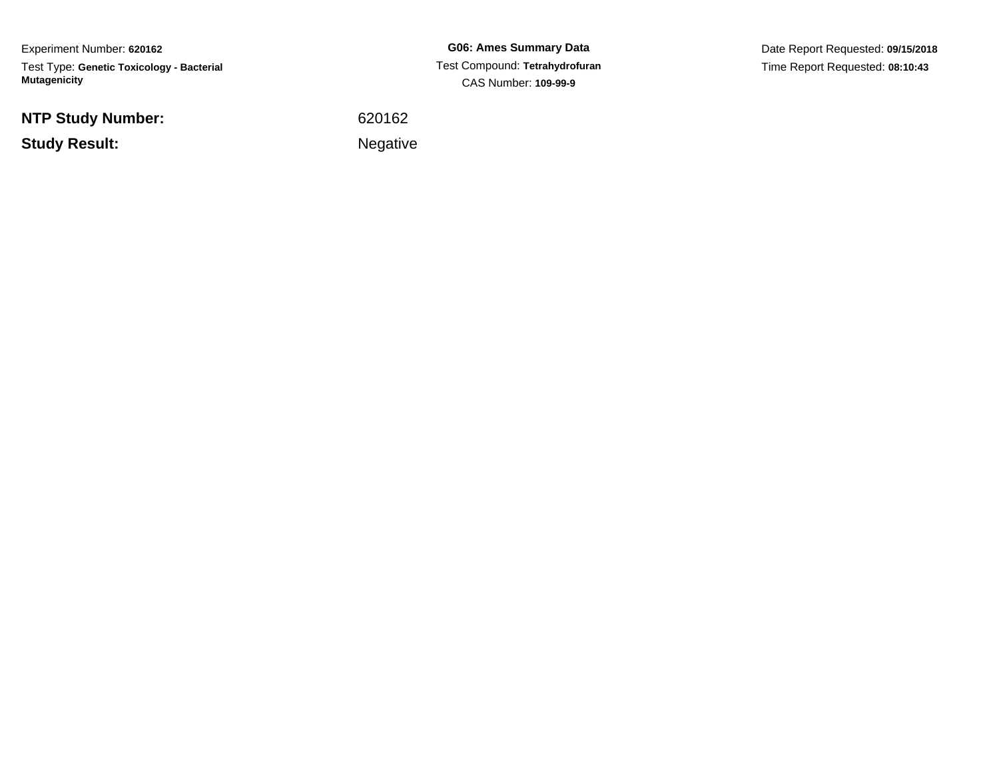Experiment Number: **620162**Test Type: **Genetic Toxicology - Bacterial Mutagenicity**

**NTP Study Number:**

**Study Result:**

**G06: Ames Summary Data** Test Compound: **Tetrahydrofuran**CAS Number: **109-99-9**

Date Report Requested: **09/15/2018**Time Report Requested: **08:10:43**

<sup>620162</sup>

Negative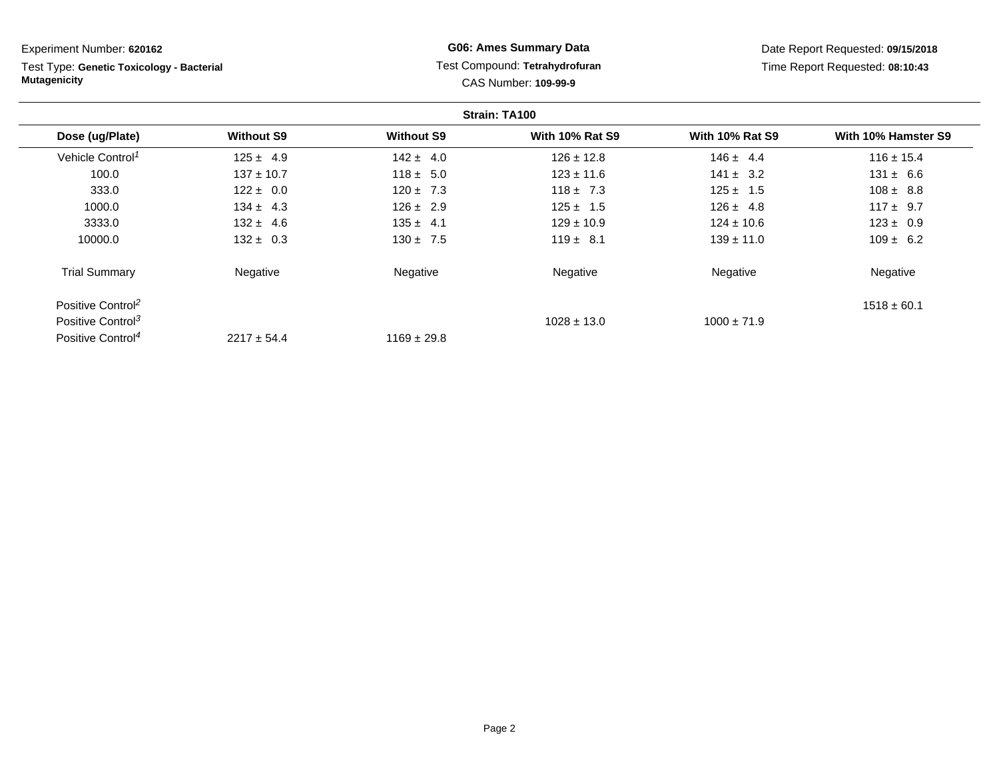| Experiment Number: 620162                                        |                   |                   | <b>G06: Ames Summary Data</b>                          |                        | Date Report Requested: 09/15/2018 |
|------------------------------------------------------------------|-------------------|-------------------|--------------------------------------------------------|------------------------|-----------------------------------|
| Test Type: Genetic Toxicology - Bacterial<br><b>Mutagenicity</b> |                   |                   | Test Compound: Tetrahydrofuran<br>CAS Number: 109-99-9 |                        | Time Report Requested: 08:10:43   |
|                                                                  |                   |                   | Strain: TA100                                          |                        |                                   |
| Dose (ug/Plate)                                                  | <b>Without S9</b> | <b>Without S9</b> | <b>With 10% Rat S9</b>                                 | <b>With 10% Rat S9</b> | With 10% Hamster S9               |
| Vehicle Control <sup>1</sup>                                     | $125 \pm 4.9$     | $142 \pm 4.0$     | $126 \pm 12.8$                                         | $146 \pm 4.4$          | $116 \pm 15.4$                    |
| 100.0                                                            | $137 \pm 10.7$    | $118 \pm 5.0$     | $123 \pm 11.6$                                         | $141 \pm 3.2$          | $131 \pm 6.6$                     |
| 333.0                                                            | $122 \pm 0.0$     | $120 \pm 7.3$     | $118 \pm 7.3$                                          | $125 \pm 1.5$          | $108 \pm 8.8$                     |
| 1000.0                                                           | $134 \pm 4.3$     | $126 \pm 2.9$     | $125 \pm 1.5$                                          | $126 \pm 4.8$          | $117 \pm 9.7$                     |
| 3333.0                                                           | $132 \pm 4.6$     | $135 \pm 4.1$     | $129 \pm 10.9$                                         | $124 \pm 10.6$         | $123 \pm 0.9$                     |
| 10000.0                                                          | $132 \pm 0.3$     | $130 \pm 7.5$     | $119 \pm 8.1$                                          | $139 \pm 11.0$         | $109 \pm 6.2$                     |
| <b>Trial Summary</b>                                             | Negative          | Negative          | Negative                                               | Negative               | Negative                          |
| Positive Control <sup>2</sup>                                    |                   |                   |                                                        |                        | $1518 \pm 60.1$                   |
| Positive Control <sup>3</sup>                                    |                   |                   | $1028 \pm 13.0$                                        | $1000 \pm 71.9$        |                                   |
| Positive Control <sup>4</sup>                                    | $2217 \pm 54.4$   | $1169 \pm 29.8$   |                                                        |                        |                                   |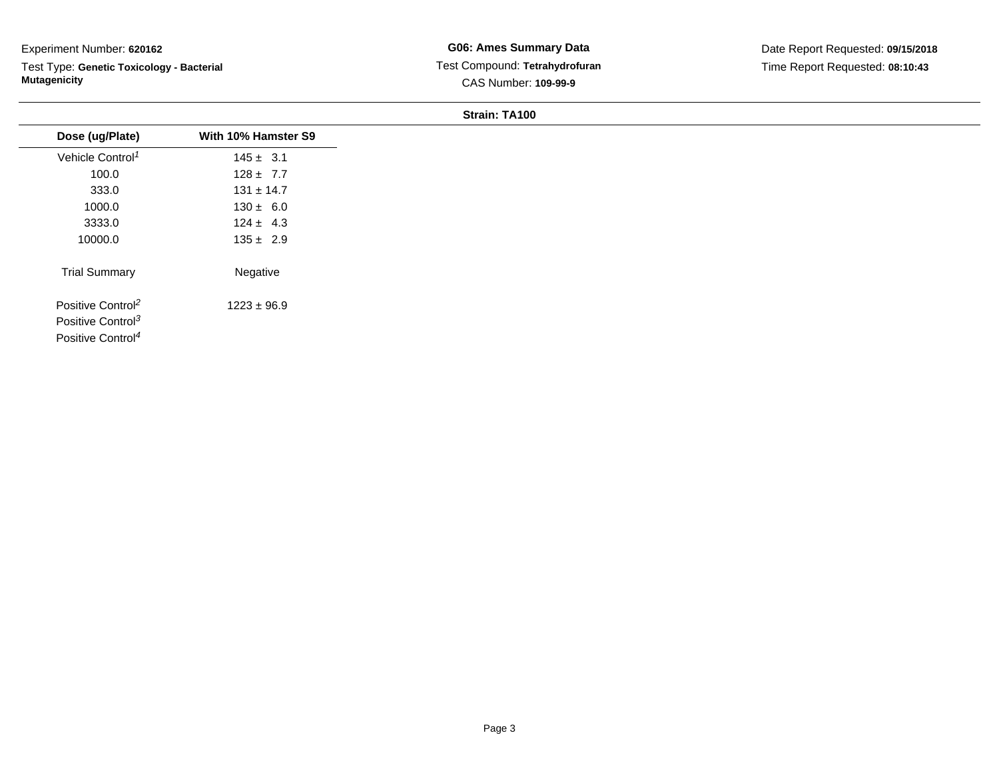Test Type: **Genetic Toxicology - Bacterial Mutagenicity**

**G06: Ames Summary Data** Test Compound: **Tetrahydrofuran**CAS Number: **109-99-9**

| Dose (ug/Plate)               | With 10% Hamster S9 |
|-------------------------------|---------------------|
| Vehicle Control <sup>1</sup>  | $145 \pm 3.1$       |
| 100.0                         | $128 \pm 7.7$       |
| 333.0                         | $131 \pm 14.7$      |
| 1000.0                        | $130 \pm 6.0$       |
| 3333.0                        | $124 \pm 4.3$       |
| 10000.0                       | $135 \pm 2.9$       |
| <b>Trial Summary</b>          | Negative            |
| Positive Control <sup>2</sup> | $1223 \pm 96.9$     |
| Positive Control <sup>3</sup> |                     |
| Positive Control <sup>4</sup> |                     |
|                               |                     |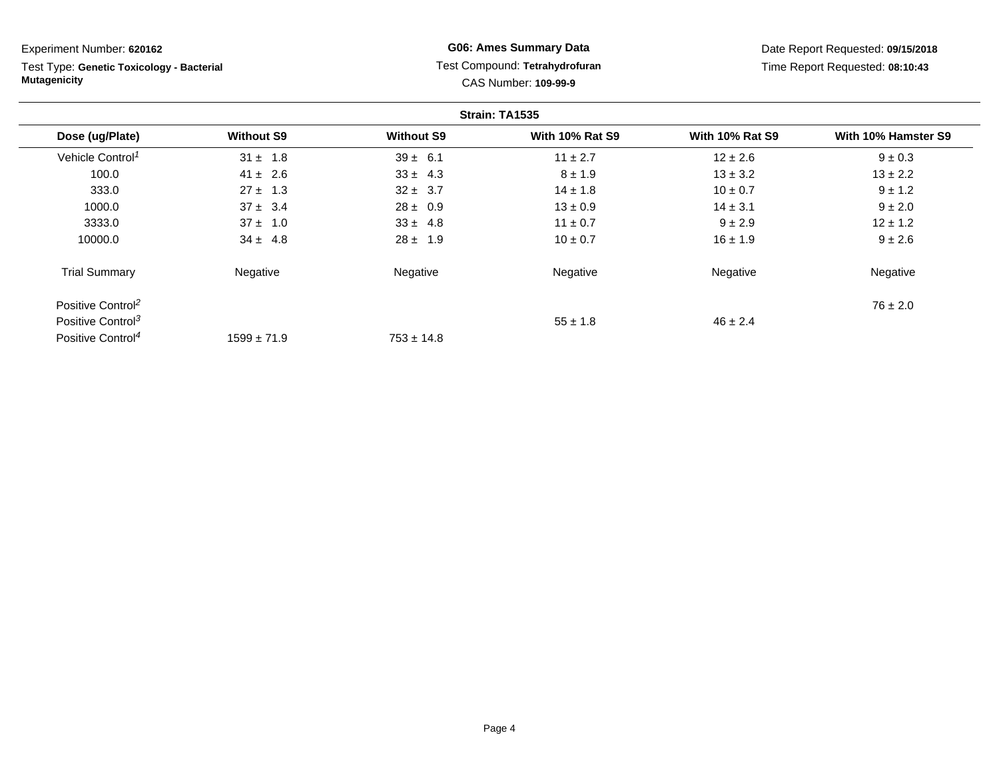**Strain: TA1535Dose (ug/Plate) Without S9 Without S9 With 10% Rat S9 With 10% Rat S9 With 10% Hamster S9** Vehicle Control<sup>1</sup>  $31 \pm 1.8$  $39 \pm 6.1$   $11 \pm 2.7$   $12 \pm 2.6$   $9 \pm 0.3$ 100.00  $41 \pm 2.6$   $33 \pm 4.3$   $8 \pm 1.9$   $13 \pm 3.2$   $13 \pm 2.2$ 333.00  $27 \pm 1.3$   $32 \pm 3.7$   $14 \pm 1.8$   $10 \pm 0.7$   $9 \pm 1.2$ 1000.00 37 ± 3.4 28 ± 0.9 13 ± 0.9 13  $\pm 0.9$  14 ± 3.1 9 ± 2.0 3333.00 37 ± 1.0 33 ± 4.8 11 ± 0.7 9 ± 2.9 12 ± 1.2 10000.00 34 ± 4.8 28 ± 1.9 10 ± 0.7 16 ± 1.9 9 ± 2.6 Trial Summary Negativee **Negative Regative** Negative Negative Negative Regative Negative Positive Control<sup>2</sup>  $76 \pm 2.0$ Positive Control<sup>3</sup>  $\frac{1}{3}$   $\frac{55 \pm 1.8}{1.8}$  $55 \pm 1.8$  46  $\pm 2.4$ Positive Control<sup>4</sup>  $1599 \pm 71.9$  $753 \pm 14.8$ Experiment Number: **620162**Test Type: **Genetic Toxicology - BacterialMutagenicityG06: Ames Summary Data** Test Compound: **Tetrahydrofuran**CAS Number: **109-99-9**Date Report Requested: **09/15/2018**Time Report Requested: **08:10:43**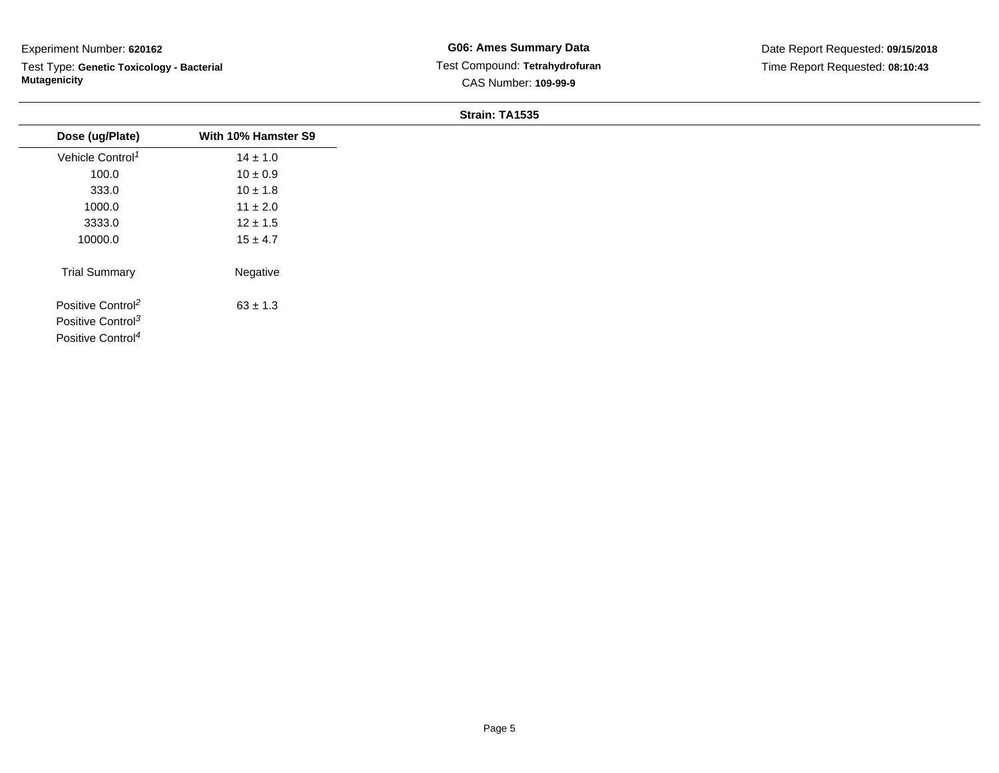Test Type: **Genetic Toxicology - Bacterial Mutagenicity**

| Dose (ug/Plate)               | With 10% Hamster S9 |
|-------------------------------|---------------------|
| Vehicle Control <sup>1</sup>  | $14 \pm 1.0$        |
| 100.0                         | $10 \pm 0.9$        |
| 333.0                         | $10 \pm 1.8$        |
| 1000.0                        | $11 \pm 2.0$        |
| 3333.0                        | $12 \pm 1.5$        |
| 10000.0                       | $15 \pm 4.7$        |
| <b>Trial Summary</b>          | Negative            |
| Positive Control <sup>2</sup> | $63 \pm 1.3$        |
| Positive Control <sup>3</sup> |                     |
| Positive Control <sup>4</sup> |                     |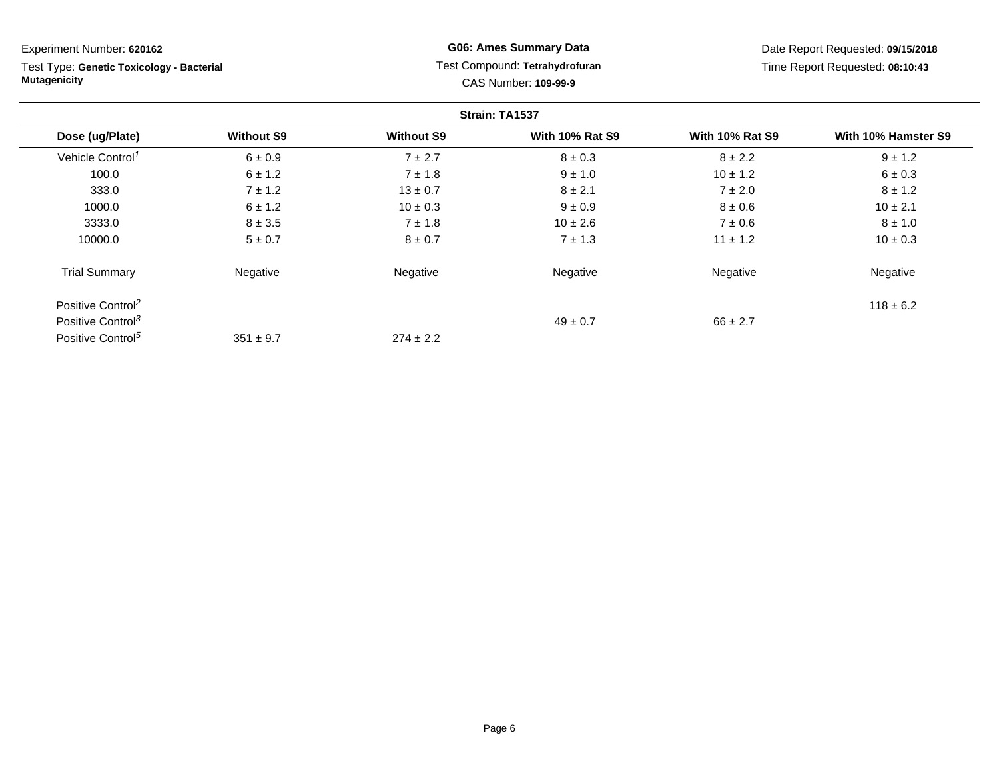| Experiment Number: 620162                                        |                   |                   | <b>G06: Ames Summary Data</b>                                 |                        | Date Report Requested: 09/15/2018 |
|------------------------------------------------------------------|-------------------|-------------------|---------------------------------------------------------------|------------------------|-----------------------------------|
| Test Type: Genetic Toxicology - Bacterial<br><b>Mutagenicity</b> |                   |                   | Test Compound: Tetrahydrofuran<br><b>CAS Number: 109-99-9</b> |                        | Time Report Requested: 08:10:43   |
|                                                                  |                   |                   | Strain: TA1537                                                |                        |                                   |
| Dose (ug/Plate)                                                  | <b>Without S9</b> | <b>Without S9</b> | <b>With 10% Rat S9</b>                                        | <b>With 10% Rat S9</b> | With 10% Hamster S9               |
| Vehicle Control <sup>1</sup>                                     | 6 ± 0.9           | $7 \pm 2.7$       | $8 \pm 0.3$                                                   | $8 \pm 2.2$            | $9 \pm 1.2$                       |
| 100.0                                                            | $6 \pm 1.2$       | $7 \pm 1.8$       | $9 \pm 1.0$                                                   | $10 \pm 1.2$           | $6 \pm 0.3$                       |
| 333.0                                                            | $7 \pm 1.2$       | $13 \pm 0.7$      | $8 \pm 2.1$                                                   | $7 \pm 2.0$            | $8 \pm 1.2$                       |
| 1000.0                                                           | $6 \pm 1.2$       | $10 \pm 0.3$      | $9 \pm 0.9$                                                   | $8 \pm 0.6$            | $10 \pm 2.1$                      |
| 3333.0                                                           | $8 \pm 3.5$       | $7 \pm 1.8$       | $10 \pm 2.6$                                                  | $7 \pm 0.6$            | $8 \pm 1.0$                       |
| 10000.0                                                          | $5 \pm 0.7$       | $8 \pm 0.7$       | $7 \pm 1.3$                                                   | $11 \pm 1.2$           | $10 \pm 0.3$                      |
| <b>Trial Summary</b>                                             | Negative          | Negative          | Negative                                                      | Negative               | Negative                          |
| Positive Control <sup>2</sup>                                    |                   |                   |                                                               |                        | $118 \pm 6.2$                     |
| Positive Control <sup>3</sup>                                    |                   |                   | $49 \pm 0.7$                                                  | $66 \pm 2.7$           |                                   |
| Positive Control <sup>5</sup>                                    | $351 \pm 9.7$     | $274 \pm 2.2$     |                                                               |                        |                                   |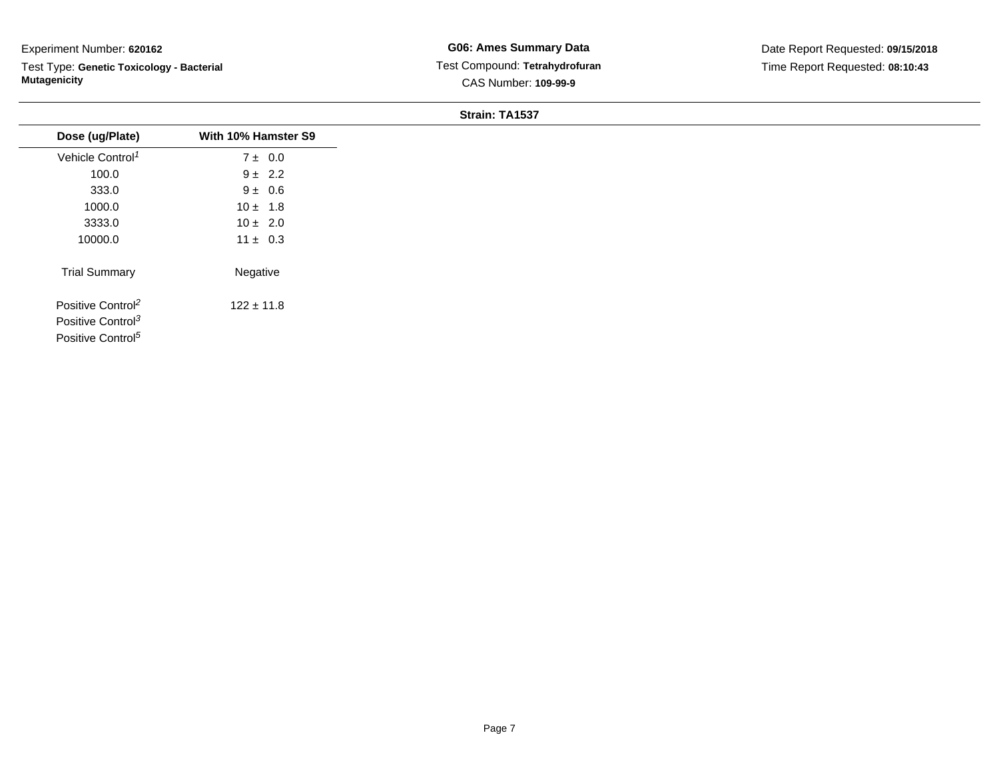Test Type: **Genetic Toxicology - Bacterial Mutagenicity**

| Dose (ug/Plate)               | With 10% Hamster S9 |
|-------------------------------|---------------------|
| Vehicle Control <sup>1</sup>  | $7 \pm 0.0$         |
| 100.0                         | $9 \pm 2.2$         |
| 333.0                         | $9 \pm 0.6$         |
| 1000.0                        | $10 \pm 1.8$        |
| 3333.0                        | $10 \pm 2.0$        |
| 10000.0                       | $11 \pm 0.3$        |
| <b>Trial Summary</b>          | Negative            |
| Positive Control <sup>2</sup> | $122 \pm 11.8$      |
| Positive Control <sup>3</sup> |                     |
| Positive Control <sup>5</sup> |                     |
|                               |                     |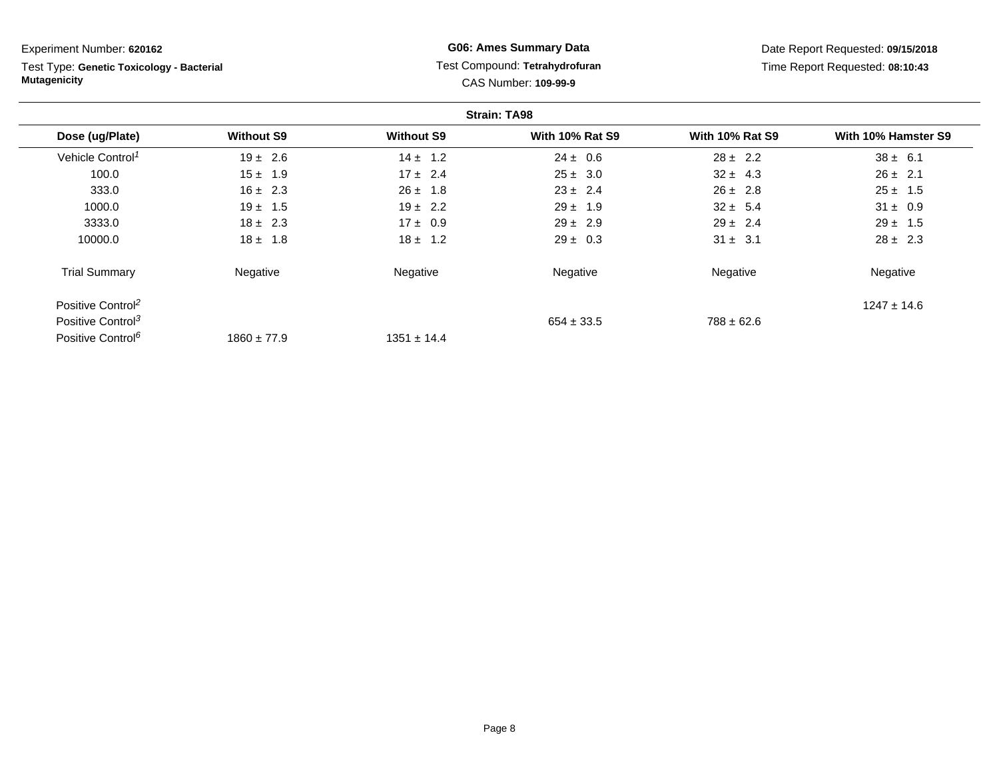**Strain: TA98Dose (ug/Plate) Without S9 Without S9 With 10% Rat S9 With 10% Rat S9 With 10% Hamster S9** Vehicle Control<sup>1</sup>  $19 \pm 2.6$ 6  $14 \pm 1.2$   $24 \pm 0.6$   $28 \pm 2.2$   $38 \pm 6.1$ 100.00 15 ± 1.9 17 ± 2.4 25 ± 3.0 32 ± 4.3 26 ± 2.1 333.00  $16 \pm 2.3$   $26 \pm 1.8$   $23 \pm 2.4$   $26 \pm 2.8$   $25 \pm 1.5$ 1000.00 19  $\pm$  1.5 19  $\pm$  2.2 29  $\pm$  1.9 32  $\pm$  5.4 31  $\pm$  0.9 3333.00 18 ± 2.3 17 ± 0.9 29 ± 2.9 2.9 29 ± 2.4 29 ± 2.5 10000.00  $18 \pm 1.8$   $18 \pm 1.2$   $29 \pm 0.3$   $31 \pm 3.1$   $28 \pm 2.3$ Trial Summary Negativee **Negative Regative** Negative Negative Negative Regative Negative Positive Control<sup>2</sup>  $^{22}$  and  $^{1247}$   $\pm$  14.6  $^{14.6}$ Positive Control<sup>3</sup>  $654 \pm 33.5$  $788 \pm 62.6$ Experiment Number: **620162**Test Type: **Genetic Toxicology - BacterialMutagenicityG06: Ames Summary Data** Test Compound: **Tetrahydrofuran**CAS Number: **109-99-9**Date Report Requested: **09/15/2018**Time Report Requested: **08:10:43**

 $1351 \pm 14.4$ 

Positive Control<sup>6</sup>

 $1860 \pm 77.9$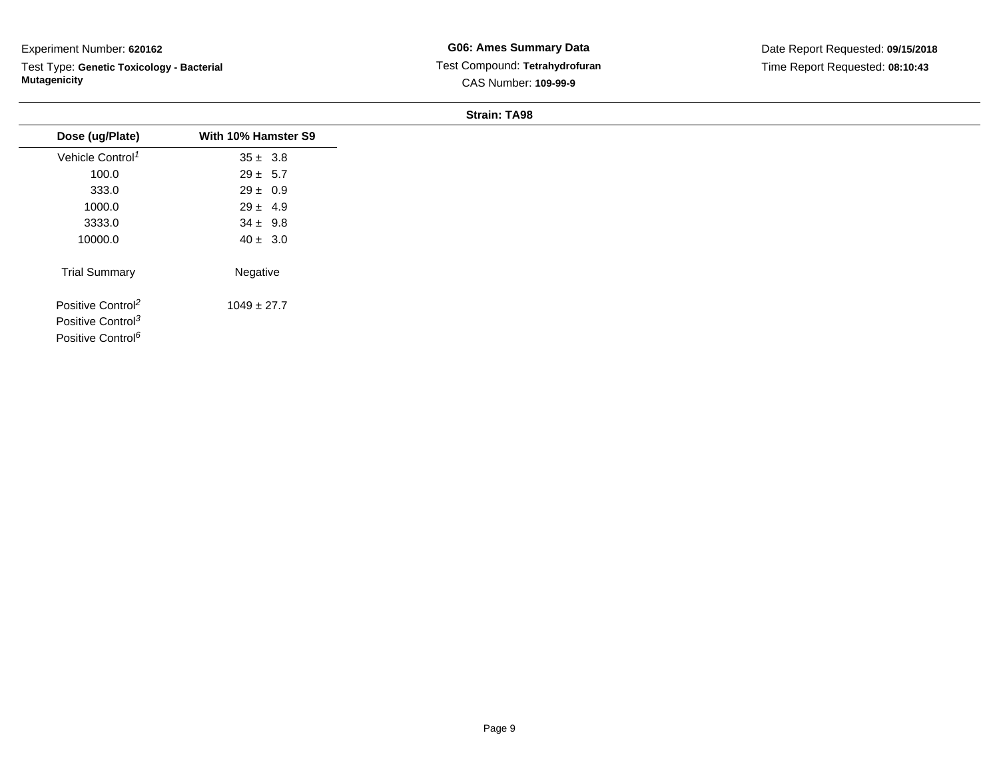Test Type: **Genetic Toxicology - Bacterial Mutagenicity**

**G06: Ames Summary Data** Test Compound: **Tetrahydrofuran**CAS Number: **109-99-9**

| Dose (ug/Plate)               | With 10% Hamster S9 |
|-------------------------------|---------------------|
|                               |                     |
| Vehicle Control <sup>1</sup>  | $35 \pm 3.8$        |
| 100.0                         | $29 \pm 5.7$        |
| 333.0                         | $29 \pm 0.9$        |
| 1000.0                        | $29 \pm 4.9$        |
| 3333.0                        | $34 \pm 9.8$        |
| 10000.0                       | $40 \pm 3.0$        |
| <b>Trial Summary</b>          | Negative            |
| Positive Control <sup>2</sup> | $1049 \pm 27.7$     |
| Positive Control <sup>3</sup> |                     |
| Positive Control <sup>6</sup> |                     |